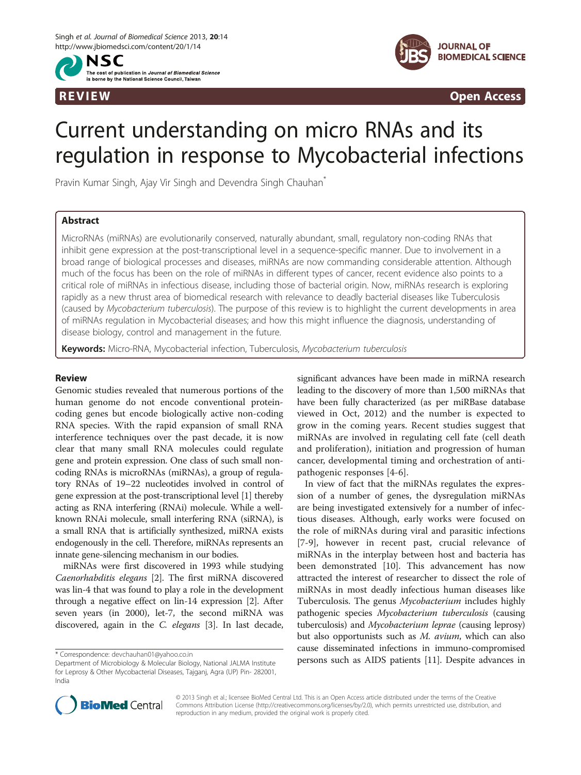



R EVI EW Open Access

# Current understanding on micro RNAs and its regulation in response to Mycobacterial infections

Pravin Kumar Singh, Ajay Vir Singh and Devendra Singh Chauhan<sup>®</sup>

## Abstract

MicroRNAs (miRNAs) are evolutionarily conserved, naturally abundant, small, regulatory non-coding RNAs that inhibit gene expression at the post-transcriptional level in a sequence-specific manner. Due to involvement in a broad range of biological processes and diseases, miRNAs are now commanding considerable attention. Although much of the focus has been on the role of miRNAs in different types of cancer, recent evidence also points to a critical role of miRNAs in infectious disease, including those of bacterial origin. Now, miRNAs research is exploring rapidly as a new thrust area of biomedical research with relevance to deadly bacterial diseases like Tuberculosis (caused by Mycobacterium tuberculosis). The purpose of this review is to highlight the current developments in area of miRNAs regulation in Mycobacterial diseases; and how this might influence the diagnosis, understanding of disease biology, control and management in the future.

Keywords: Micro-RNA, Mycobacterial infection, Tuberculosis, Mycobacterium tuberculosis

## Review

Genomic studies revealed that numerous portions of the human genome do not encode conventional proteincoding genes but encode biologically active non-coding RNA species. With the rapid expansion of small RNA interference techniques over the past decade, it is now clear that many small RNA molecules could regulate gene and protein expression. One class of such small noncoding RNAs is microRNAs (miRNAs), a group of regulatory RNAs of 19–22 nucleotides involved in control of gene expression at the post-transcriptional level [[1](#page-7-0)] thereby acting as RNA interfering (RNAi) molecule. While a wellknown RNAi molecule, small interfering RNA (siRNA), is a small RNA that is artificially synthesized, miRNA exists endogenously in the cell. Therefore, miRNAs represents an innate gene-silencing mechanism in our bodies.

miRNAs were first discovered in 1993 while studying Caenorhabditis elegans [\[2](#page-7-0)]. The first miRNA discovered was lin-4 that was found to play a role in the development through a negative effect on lin-14 expression [[2\]](#page-7-0). After seven years (in 2000), let-7, the second miRNA was discovered, again in the C. elegans [\[3](#page-7-0)]. In last decade, significant advances have been made in miRNA research leading to the discovery of more than 1,500 miRNAs that have been fully characterized (as per miRBase database viewed in Oct, 2012) and the number is expected to grow in the coming years. Recent studies suggest that miRNAs are involved in regulating cell fate (cell death and proliferation), initiation and progression of human cancer, developmental timing and orchestration of antipathogenic responses [[4-6\]](#page-7-0).

In view of fact that the miRNAs regulates the expression of a number of genes, the dysregulation miRNAs are being investigated extensively for a number of infectious diseases. Although, early works were focused on the role of miRNAs during viral and parasitic infections [[7-9](#page-7-0)], however in recent past, crucial relevance of miRNAs in the interplay between host and bacteria has been demonstrated [[10\]](#page-7-0). This advancement has now attracted the interest of researcher to dissect the role of miRNAs in most deadly infectious human diseases like Tuberculosis. The genus Mycobacterium includes highly pathogenic species Mycobacterium tuberculosis (causing tuberculosis) and Mycobacterium leprae (causing leprosy) but also opportunists such as M. avium, which can also cause disseminated infections in immuno-compromised \* Correspondence: [devchauhan01@yahoo.co.in](mailto:devchauhan01@yahoo.co.in)<br>Department of Microbiology & Molecular Biology National JALMA Institute **Persons such as AIDS patients [\[11\]](#page-7-0). Despite advances in** 



© 2013 Singh et al.; licensee BioMed Central Ltd. This is an Open Access article distributed under the terms of the Creative Commons Attribution License [\(http://creativecommons.org/licenses/by/2.0\)](http://creativecommons.org/licenses/by/2.0), which permits unrestricted use, distribution, and reproduction in any medium, provided the original work is properly cited.

Department of Microbiology & Molecular Biology, National JALMA Institute for Leprosy & Other Mycobacterial Diseases, Tajganj, Agra (UP) Pin- 282001, India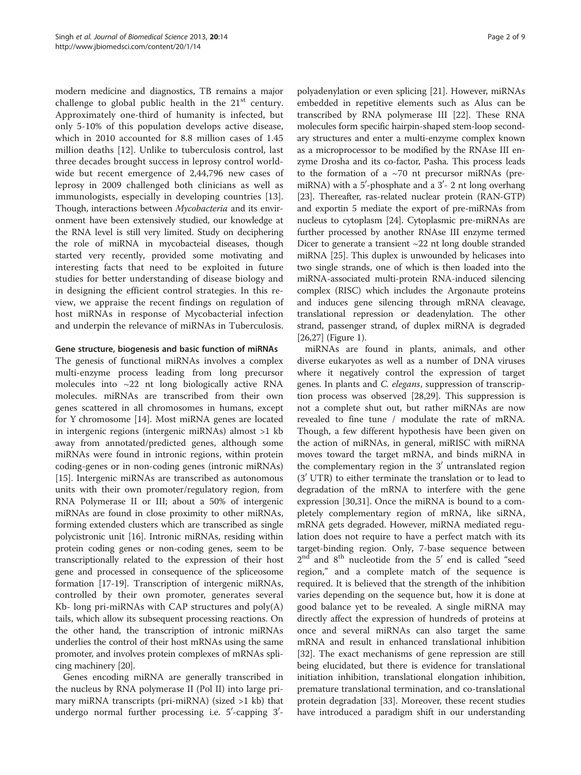modern medicine and diagnostics, TB remains a major challenge to global public health in the  $21<sup>st</sup>$  century. Approximately one-third of humanity is infected, but only 5-10% of this population develops active disease, which in 2010 accounted for 8.8 million cases of 1.45 million deaths [[12\]](#page-7-0). Unlike to tuberculosis control, last three decades brought success in leprosy control worldwide but recent emergence of 2,44,796 new cases of leprosy in 2009 challenged both clinicians as well as immunologists, especially in developing countries [\[13](#page-7-0)]. Though, interactions between Mycobacteria and its environment have been extensively studied, our knowledge at the RNA level is still very limited. Study on deciphering the role of miRNA in mycobacteial diseases, though started very recently, provided some motivating and interesting facts that need to be exploited in future studies for better understanding of disease biology and in designing the efficient control strategies. In this review, we appraise the recent findings on regulation of host miRNAs in response of Mycobacterial infection and underpin the relevance of miRNAs in Tuberculosis.

### Gene structure, biogenesis and basic function of miRNAs

The genesis of functional miRNAs involves a complex multi-enzyme process leading from long precursor molecules into  $\sim$ 22 nt long biologically active RNA molecules. miRNAs are transcribed from their own genes scattered in all chromosomes in humans, except for Y chromosome [[14\]](#page-7-0). Most miRNA genes are located in intergenic regions (intergenic miRNAs) almost >1 kb away from annotated/predicted genes, although some miRNAs were found in intronic regions, within protein coding-genes or in non-coding genes (intronic miRNAs) [[15\]](#page-7-0). Intergenic miRNAs are transcribed as autonomous units with their own promoter/regulatory region, from RNA Polymerase II or III; about a 50% of intergenic miRNAs are found in close proximity to other miRNAs, forming extended clusters which are transcribed as single polycistronic unit [[16](#page-7-0)]. Intronic miRNAs, residing within protein coding genes or non-coding genes, seem to be transcriptionally related to the expression of their host gene and processed in consequence of the spliceosome formation [\[17-19\]](#page-7-0). Transcription of intergenic miRNAs, controlled by their own promoter, generates several Kb- long pri-miRNAs with CAP structures and poly(A) tails, which allow its subsequent processing reactions. On the other hand, the transcription of intronic miRNAs underlies the control of their host mRNAs using the same promoter, and involves protein complexes of mRNAs splicing machinery [[20](#page-7-0)].

Genes encoding miRNA are generally transcribed in the nucleus by RNA polymerase II (Pol II) into large primary miRNA transcripts (pri-miRNA) (sized >1 kb) that undergo normal further processing i.e. 5'-capping 3'-

polyadenylation or even splicing [[21\]](#page-7-0). However, miRNAs embedded in repetitive elements such as Alus can be transcribed by RNA polymerase III [[22](#page-7-0)]. These RNA molecules form specific hairpin-shaped stem-loop secondary structures and enter a multi-enzyme complex known as a microprocessor to be modified by the RNAse III enzyme Drosha and its co-factor, Pasha. This process leads to the formation of a  $\sim$ 70 nt precursor miRNAs (premiRNA) with a  $5'$ -phosphate and a  $3'$ - 2 nt long overhang [[23](#page-7-0)]. Thereafter, ras-related nuclear protein (RAN-GTP) and exportin 5 mediate the export of pre-miRNAs from nucleus to cytoplasm [\[24\]](#page-7-0). Cytoplasmic pre-miRNAs are further processed by another RNAse III enzyme termed Dicer to generate a transient ~22 nt long double stranded miRNA [[25](#page-7-0)]. This duplex is unwounded by helicases into two single strands, one of which is then loaded into the miRNA-associated multi-protein RNA-induced silencing complex (RISC) which includes the Argonaute proteins and induces gene silencing through mRNA cleavage, translational repression or deadenylation. The other strand, passenger strand, of duplex miRNA is degraded [[26](#page-7-0),[27](#page-7-0)] (Figure [1\)](#page-2-0).

miRNAs are found in plants, animals, and other diverse eukaryotes as well as a number of DNA viruses where it negatively control the expression of target genes. In plants and C. elegans, suppression of transcription process was observed [[28,29\]](#page-7-0). This suppression is not a complete shut out, but rather miRNAs are now revealed to fine tune / modulate the rate of mRNA. Though, a few different hypothesis have been given on the action of miRNAs, in general, miRISC with miRNA moves toward the target mRNA, and binds miRNA in the complementary region in the  $3'$  untranslated region  $(3' UTR)$  to either terminate the translation or to lead to degradation of the mRNA to interfere with the gene expression [\[30,31\]](#page-7-0). Once the miRNA is bound to a completely complementary region of mRNA, like siRNA, mRNA gets degraded. However, miRNA mediated regulation does not require to have a perfect match with its target-binding region. Only, 7-base sequence between  $2<sup>nd</sup>$  and  $8<sup>th</sup>$  nucleotide from the  $5'$  end is called "seed region," and a complete match of the sequence is required. It is believed that the strength of the inhibition varies depending on the sequence but, how it is done at good balance yet to be revealed. A single miRNA may directly affect the expression of hundreds of proteins at once and several miRNAs can also target the same mRNA and result in enhanced translational inhibition [[32\]](#page-7-0). The exact mechanisms of gene repression are still being elucidated, but there is evidence for translational initiation inhibition, translational elongation inhibition, premature translational termination, and co-translational protein degradation [[33\]](#page-7-0). Moreover, these recent studies have introduced a paradigm shift in our understanding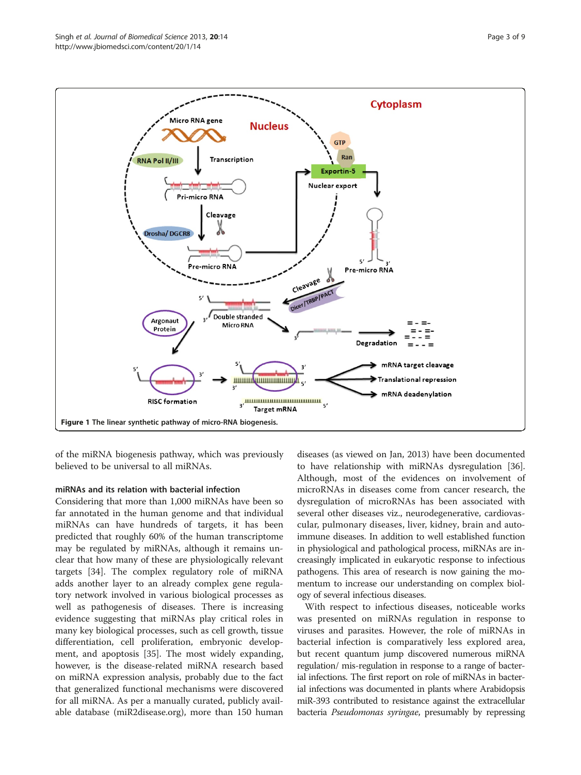<span id="page-2-0"></span>



of the miRNA biogenesis pathway, which was previously believed to be universal to all miRNAs.

## miRNAs and its relation with bacterial infection

Considering that more than 1,000 miRNAs have been so far annotated in the human genome and that individual miRNAs can have hundreds of targets, it has been predicted that roughly 60% of the human transcriptome may be regulated by miRNAs, although it remains unclear that how many of these are physiologically relevant targets [\[34\]](#page-7-0). The complex regulatory role of miRNA adds another layer to an already complex gene regulatory network involved in various biological processes as well as pathogenesis of diseases. There is increasing evidence suggesting that miRNAs play critical roles in many key biological processes, such as cell growth, tissue differentiation, cell proliferation, embryonic development, and apoptosis [\[35](#page-7-0)]. The most widely expanding, however, is the disease-related miRNA research based on miRNA expression analysis, probably due to the fact that generalized functional mechanisms were discovered for all miRNA. As per a manually curated, publicly available database (miR2disease.org), more than 150 human diseases (as viewed on Jan, 2013) have been documented to have relationship with miRNAs dysregulation [\[36](#page-7-0)]. Although, most of the evidences on involvement of microRNAs in diseases come from cancer research, the dysregulation of microRNAs has been associated with several other diseases viz., neurodegenerative, cardiovascular, pulmonary diseases, liver, kidney, brain and autoimmune diseases. In addition to well established function in physiological and pathological process, miRNAs are increasingly implicated in eukaryotic response to infectious pathogens. This area of research is now gaining the momentum to increase our understanding on complex biology of several infectious diseases.

With respect to infectious diseases, noticeable works was presented on miRNAs regulation in response to viruses and parasites. However, the role of miRNAs in bacterial infection is comparatively less explored area, but recent quantum jump discovered numerous miRNA regulation/ mis-regulation in response to a range of bacterial infections. The first report on role of miRNAs in bacterial infections was documented in plants where Arabidopsis miR-393 contributed to resistance against the extracellular bacteria Pseudomonas syringae, presumably by repressing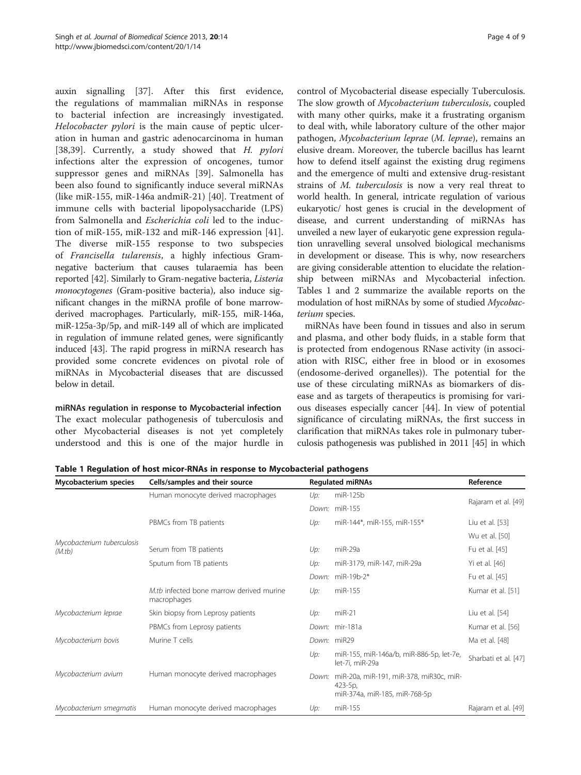<span id="page-3-0"></span>auxin signalling [[37\]](#page-7-0). After this first evidence, the regulations of mammalian miRNAs in response to bacterial infection are increasingly investigated. Helocobacter pylori is the main cause of peptic ulceration in human and gastric adenocarcinoma in human [[38,39](#page-7-0)]. Currently, a study showed that H. pylori infections alter the expression of oncogenes, tumor suppressor genes and miRNAs [\[39\]](#page-7-0). Salmonella has been also found to significantly induce several miRNAs (like miR-155, miR-146a andmiR-21) [[40\]](#page-7-0). Treatment of immune cells with bacterial lipopolysaccharide (LPS) from Salmonella and Escherichia coli led to the induction of miR-155, miR-132 and miR-146 expression [\[41](#page-7-0)]. The diverse miR-155 response to two subspecies of Francisella tularensis, a highly infectious Gramnegative bacterium that causes tularaemia has been reported [[42](#page-7-0)]. Similarly to Gram-negative bacteria, Listeria monocytogenes (Gram-positive bacteria), also induce significant changes in the miRNA profile of bone marrowderived macrophages. Particularly, miR-155, miR-146a, miR-125a-3p/5p, and miR-149 all of which are implicated in regulation of immune related genes, were significantly induced [\[43\]](#page-7-0). The rapid progress in miRNA research has provided some concrete evidences on pivotal role of miRNAs in Mycobacterial diseases that are discussed below in detail.

miRNAs regulation in response to Mycobacterial infection The exact molecular pathogenesis of tuberculosis and other Mycobacterial diseases is not yet completely understood and this is one of the major hurdle in

control of Mycobacterial disease especially Tuberculosis. The slow growth of Mycobacterium tuberculosis, coupled with many other quirks, make it a frustrating organism to deal with, while laboratory culture of the other major pathogen, Mycobacterium leprae (M. leprae), remains an elusive dream. Moreover, the tubercle bacillus has learnt how to defend itself against the existing drug regimens and the emergence of multi and extensive drug-resistant strains of M. tuberculosis is now a very real threat to world health. In general, intricate regulation of various eukaryotic/ host genes is crucial in the development of disease, and current understanding of miRNAs has unveiled a new layer of eukaryotic gene expression regulation unravelling several unsolved biological mechanisms in development or disease. This is why, now researchers are giving considerable attention to elucidate the relationship between miRNAs and Mycobacterial infection. Tables 1 and [2](#page-4-0) summarize the available reports on the modulation of host miRNAs by some of studied Mycobacterium species.

miRNAs have been found in tissues and also in serum and plasma, and other body fluids, in a stable form that is protected from endogenous RNase activity (in association with RISC, either free in blood or in exosomes (endosome-derived organelles)). The potential for the use of these circulating miRNAs as biomarkers of disease and as targets of therapeutics is promising for various diseases especially cancer [\[44](#page-7-0)]. In view of potential significance of circulating miRNAs, the first success in clarification that miRNAs takes role in pulmonary tuberculosis pathogenesis was published in 2011 [\[45\]](#page-7-0) in which

Table 1 Regulation of host micor-RNAs in response to Mycobacterial pathogens

| Mycobacterium species                | Cells/samples and their source                          |       | <b>Regulated miRNAs</b>                                                                | Reference            |
|--------------------------------------|---------------------------------------------------------|-------|----------------------------------------------------------------------------------------|----------------------|
|                                      | Human monocyte derived macrophages                      | Up:   | miR-125b                                                                               |                      |
| Mycobacterium tuberculosis<br>(M.tb) |                                                         |       | Down: miR-155                                                                          | Rajaram et al. [49]  |
|                                      | PBMCs from TB patients                                  | Up:   | miR-144*, miR-155, miR-155*                                                            | Liu et al. [53]      |
|                                      |                                                         |       |                                                                                        | Wu et al. [50]       |
|                                      | Serum from TB patients                                  | Up:   | miR-29a                                                                                | Fu et al. [45]       |
|                                      | Sputum from TB patients                                 | Up:   | miR-3179, miR-147, miR-29a                                                             | Yi et al. [46]       |
|                                      |                                                         |       | Down: miR-19b-2*                                                                       | Fu et al. [45]       |
|                                      | M.th infected bone marrow derived murine<br>macrophages | Up:   | miR-155                                                                                | Kumar et al. [51]    |
| Mycobacterium leprae                 | Skin biopsy from Leprosy patients                       | Up:   | $miR-21$                                                                               | Liu et al. [54]      |
|                                      | PBMCs from Leprosy patients                             |       | Down: mir-181a                                                                         | Kumar et al. [56]    |
| Mycobacterium bovis                  | Murine T cells                                          |       | Down: miR29                                                                            | Ma et al. [48]       |
|                                      |                                                         | Up:   | miR-155, miR-146a/b, miR-886-5p, let-7e,<br>let-7i, miR-29a                            | Sharbati et al. [47] |
| Mycobacterium avium                  | Human monocyte derived macrophages                      | Down: | miR-20a, miR-191, miR-378, miR30c, miR-<br>$423-5p$ ,<br>miR-374a, miR-185, miR-768-5p |                      |
| Mycobacterium smegmatis              | Human monocyte derived macrophages                      | Up:   | miR-155                                                                                | Rajaram et al. [49]  |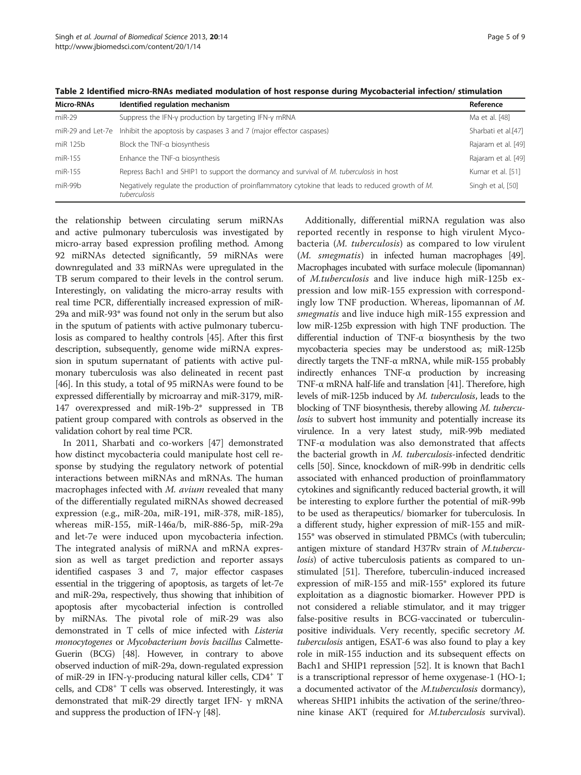<span id="page-4-0"></span>

| Table 2 Identified micro-RNAs mediated modulation of host response during Mycobacterial infection/ stimulation |  |
|----------------------------------------------------------------------------------------------------------------|--|
|----------------------------------------------------------------------------------------------------------------|--|

| Micro-RNAs | Identified regulation mechanism                                                                                   | Reference           |
|------------|-------------------------------------------------------------------------------------------------------------------|---------------------|
| $miR-29$   | Suppress the IFN-y production by targeting IFN-y mRNA                                                             | Ma et al. [48]      |
|            | miR-29 and Let-7e Inhibit the apoptosis by caspases 3 and 7 (major effector caspases)                             | Sharbati et al.[47] |
| miR 125b   | Block the TNF-a biosynthesis                                                                                      | Rajaram et al. [49] |
| miR-155    | Enhance the TNF-a biosynthesis                                                                                    | Rajaram et al. [49] |
| miR-155    | Repress Bach1 and SHIP1 to support the dormancy and survival of M. tuberculosis in host                           | Kumar et al. [51]   |
| miR-99b    | Negatively regulate the production of proinflammatory cytokine that leads to reduced growth of M.<br>tuberculosis | Singh et al, [50]   |

the relationship between circulating serum miRNAs and active pulmonary tuberculosis was investigated by micro-array based expression profiling method. Among 92 miRNAs detected significantly, 59 miRNAs were downregulated and 33 miRNAs were upregulated in the TB serum compared to their levels in the control serum. Interestingly, on validating the micro-array results with real time PCR, differentially increased expression of miR-29a and miR-93\* was found not only in the serum but also in the sputum of patients with active pulmonary tuberculosis as compared to healthy controls [[45\]](#page-7-0). After this first description, subsequently, genome wide miRNA expression in sputum supernatant of patients with active pulmonary tuberculosis was also delineated in recent past [[46](#page-7-0)]. In this study, a total of 95 miRNAs were found to be expressed differentially by microarray and miR-3179, miR-147 overexpressed and miR-19b-2\* suppressed in TB patient group compared with controls as observed in the validation cohort by real time PCR.

In 2011, Sharbati and co-workers [[47](#page-7-0)] demonstrated how distinct mycobacteria could manipulate host cell response by studying the regulatory network of potential interactions between miRNAs and mRNAs. The human macrophages infected with M. avium revealed that many of the differentially regulated miRNAs showed decreased expression (e.g., miR-20a, miR-191, miR-378, miR-185), whereas miR-155, miR-146a/b, miR-886-5p, miR-29a and let-7e were induced upon mycobacteria infection. The integrated analysis of miRNA and mRNA expression as well as target prediction and reporter assays identified caspases 3 and 7, major effector caspases essential in the triggering of apoptosis, as targets of let-7e and miR-29a, respectively, thus showing that inhibition of apoptosis after mycobacterial infection is controlled by miRNAs. The pivotal role of miR-29 was also demonstrated in T cells of mice infected with Listeria monocytogenes or Mycobacterium bovis bacillus Calmette-Guerin (BCG) [[48](#page-7-0)]. However, in contrary to above observed induction of miR-29a, down-regulated expression of miR-29 in IFN-γ-producing natural killer cells, CD4<sup>+</sup> T cells, and  $CDS^+$  T cells was observed. Interestingly, it was demonstrated that miR-29 directly target IFN- γ mRNA and suppress the production of IFN-γ [\[48\]](#page-7-0).

Additionally, differential miRNA regulation was also reported recently in response to high virulent Mycobacteria (M. tuberculosis) as compared to low virulent (M. smegmatis) in infected human macrophages [\[49\]](#page-7-0). Macrophages incubated with surface molecule (lipomannan) of M.tuberculosis and live induce high miR-125b expression and low miR-155 expression with correspondingly low TNF production. Whereas, lipomannan of M. smegmatis and live induce high miR-155 expression and low miR-125b expression with high TNF production. The differential induction of TNF-α biosynthesis by the two mycobacteria species may be understood as; miR-125b directly targets the TNF-α mRNA, while miR-155 probably indirectly enhances TNF-α production by increasing TNF-α mRNA half-life and translation [\[41\]](#page-7-0). Therefore, high levels of miR-125b induced by M. tuberculosis, leads to the blocking of TNF biosynthesis, thereby allowing M. tuberculosis to subvert host immunity and potentially increase its virulence. In a very latest study, miR-99b mediated TNF-α modulation was also demonstrated that affects the bacterial growth in M. tuberculosis-infected dendritic cells [\[50\]](#page-7-0). Since, knockdown of miR-99b in dendritic cells associated with enhanced production of proinflammatory cytokines and significantly reduced bacterial growth, it will be interesting to explore further the potential of miR-99b to be used as therapeutics/ biomarker for tuberculosis. In a different study, higher expression of miR-155 and miR-155\* was observed in stimulated PBMCs (with tuberculin; antigen mixture of standard H37Rv strain of M.tuberculosis) of active tuberculosis patients as compared to unstimulated [\[51\]](#page-7-0). Therefore, tuberculin-induced increased expression of miR-155 and miR-155\* explored its future exploitation as a diagnostic biomarker. However PPD is not considered a reliable stimulator, and it may trigger false-positive results in BCG-vaccinated or tuberculinpositive individuals. Very recently, specific secretory M. tuberculosis antigen, ESAT-6 was also found to play a key role in miR-155 induction and its subsequent effects on Bach1 and SHIP1 repression [\[52\]](#page-8-0). It is known that Bach1 is a transcriptional repressor of heme oxygenase-1 (HO-1; a documented activator of the *M.tuberculosis* dormancy), whereas SHIP1 inhibits the activation of the serine/threonine kinase AKT (required for M.tuberculosis survival).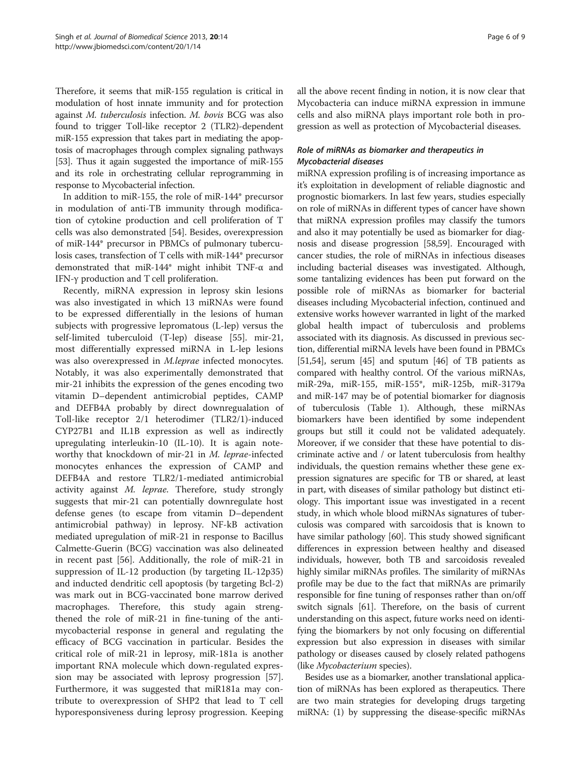Therefore, it seems that miR-155 regulation is critical in modulation of host innate immunity and for protection against M. tuberculosis infection. M. bovis BCG was also found to trigger Toll-like receptor 2 (TLR2)-dependent miR-155 expression that takes part in mediating the apoptosis of macrophages through complex signaling pathways [[53](#page-8-0)]. Thus it again suggested the importance of miR-155 and its role in orchestrating cellular reprogramming in response to Mycobacterial infection.

In addition to miR-155, the role of miR-144\* precursor in modulation of anti-TB immunity through modification of cytokine production and cell proliferation of T cells was also demonstrated [\[54](#page-8-0)]. Besides, overexpression of miR-144\* precursor in PBMCs of pulmonary tuberculosis cases, transfection of T cells with miR-144\* precursor demonstrated that miR-144\* might inhibit TNF-α and IFN-γ production and T cell proliferation.

Recently, miRNA expression in leprosy skin lesions was also investigated in which 13 miRNAs were found to be expressed differentially in the lesions of human subjects with progressive lepromatous (L-lep) versus the self-limited tuberculoid (T-lep) disease [\[55](#page-8-0)]. mir-21, most differentially expressed miRNA in L-lep lesions was also overexpressed in M.leprae infected monocytes. Notably, it was also experimentally demonstrated that mir-21 inhibits the expression of the genes encoding two vitamin D–dependent antimicrobial peptides, CAMP and DEFB4A probably by direct downregualation of Toll-like receptor 2/1 heterodimer (TLR2/1)-induced CYP27B1 and IL1B expression as well as indirectly upregulating interleukin-10 (IL-10). It is again noteworthy that knockdown of mir-21 in M. leprae-infected monocytes enhances the expression of CAMP and DEFB4A and restore TLR2/1-mediated antimicrobial activity against M. leprae. Therefore, study strongly suggests that mir-21 can potentially downregulate host defense genes (to escape from vitamin D–dependent antimicrobial pathway) in leprosy. NF-kB activation mediated upregulation of miR-21 in response to Bacillus Calmette-Guerin (BCG) vaccination was also delineated in recent past [[56\]](#page-8-0). Additionally, the role of miR-21 in suppression of IL-12 production (by targeting IL-12p35) and inducted dendritic cell apoptosis (by targeting Bcl-2) was mark out in BCG-vaccinated bone marrow derived macrophages. Therefore, this study again strengthened the role of miR-21 in fine-tuning of the antimycobacterial response in general and regulating the efficacy of BCG vaccination in particular. Besides the critical role of miR-21 in leprosy, miR-181a is another important RNA molecule which down-regulated expression may be associated with leprosy progression [\[57](#page-8-0)]. Furthermore, it was suggested that miR181a may contribute to overexpression of SHP2 that lead to T cell hyporesponsiveness during leprosy progression. Keeping

all the above recent finding in notion, it is now clear that Mycobacteria can induce miRNA expression in immune cells and also miRNA plays important role both in progression as well as protection of Mycobacterial diseases.

## Role of miRNAs as biomarker and therapeutics in Mycobacterial diseases

miRNA expression profiling is of increasing importance as it's exploitation in development of reliable diagnostic and prognostic biomarkers. In last few years, studies especially on role of miRNAs in different types of cancer have shown that miRNA expression profiles may classify the tumors and also it may potentially be used as biomarker for diagnosis and disease progression [\[58,59\]](#page-8-0). Encouraged with cancer studies, the role of miRNAs in infectious diseases including bacterial diseases was investigated. Although, some tantalizing evidences has been put forward on the possible role of miRNAs as biomarker for bacterial diseases including Mycobacterial infection, continued and extensive works however warranted in light of the marked global health impact of tuberculosis and problems associated with its diagnosis. As discussed in previous section, differential miRNA levels have been found in PBMCs [[51](#page-7-0),[54](#page-8-0)], serum [[45](#page-7-0)] and sputum [\[46\]](#page-7-0) of TB patients as compared with healthy control. Of the various miRNAs, miR-29a, miR-155, miR-155\*, miR-125b, miR-3179a and miR-147 may be of potential biomarker for diagnosis of tuberculosis (Table [1](#page-3-0)). Although, these miRNAs biomarkers have been identified by some independent groups but still it could not be validated adequately. Moreover, if we consider that these have potential to discriminate active and / or latent tuberculosis from healthy individuals, the question remains whether these gene expression signatures are specific for TB or shared, at least in part, with diseases of similar pathology but distinct etiology. This important issue was investigated in a recent study, in which whole blood miRNAs signatures of tuberculosis was compared with sarcoidosis that is known to have similar pathology [\[60](#page-8-0)]. This study showed significant differences in expression between healthy and diseased individuals, however, both TB and sarcoidosis revealed highly similar miRNAs profiles. The similarity of miRNAs profile may be due to the fact that miRNAs are primarily responsible for fine tuning of responses rather than on/off switch signals [[61](#page-8-0)]. Therefore, on the basis of current understanding on this aspect, future works need on identifying the biomarkers by not only focusing on differential expression but also expression in diseases with similar pathology or diseases caused by closely related pathogens (like Mycobacterium species).

Besides use as a biomarker, another translational application of miRNAs has been explored as therapeutics. There are two main strategies for developing drugs targeting miRNA: (1) by suppressing the disease-specific miRNAs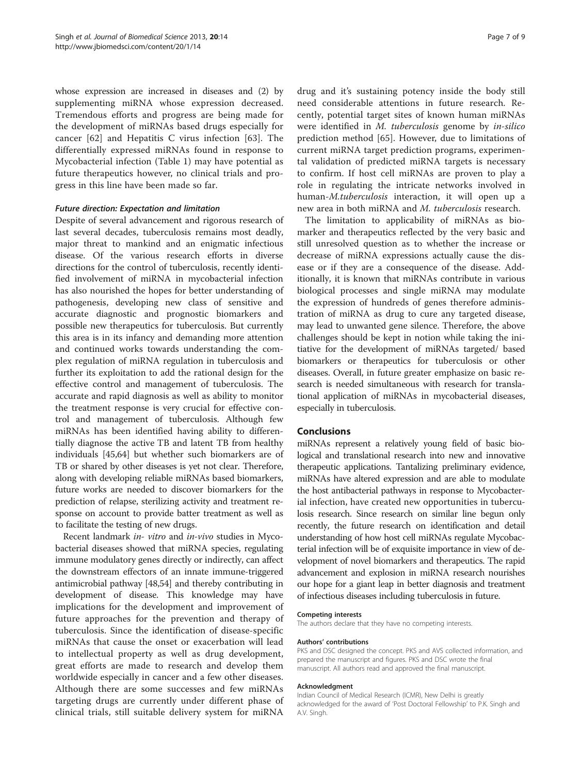whose expression are increased in diseases and (2) by supplementing miRNA whose expression decreased. Tremendous efforts and progress are being made for the development of miRNAs based drugs especially for cancer [[62](#page-8-0)] and Hepatitis C virus infection [[63\]](#page-8-0). The differentially expressed miRNAs found in response to Mycobacterial infection (Table [1\)](#page-3-0) may have potential as future therapeutics however, no clinical trials and progress in this line have been made so far.

#### Future direction: Expectation and limitation

Despite of several advancement and rigorous research of last several decades, tuberculosis remains most deadly, major threat to mankind and an enigmatic infectious disease. Of the various research efforts in diverse directions for the control of tuberculosis, recently identified involvement of miRNA in mycobacterial infection has also nourished the hopes for better understanding of pathogenesis, developing new class of sensitive and accurate diagnostic and prognostic biomarkers and possible new therapeutics for tuberculosis. But currently this area is in its infancy and demanding more attention and continued works towards understanding the complex regulation of miRNA regulation in tuberculosis and further its exploitation to add the rational design for the effective control and management of tuberculosis. The accurate and rapid diagnosis as well as ability to monitor the treatment response is very crucial for effective control and management of tuberculosis. Although few miRNAs has been identified having ability to differentially diagnose the active TB and latent TB from healthy individuals [\[45](#page-7-0)[,64\]](#page-8-0) but whether such biomarkers are of TB or shared by other diseases is yet not clear. Therefore, along with developing reliable miRNAs based biomarkers, future works are needed to discover biomarkers for the prediction of relapse, sterilizing activity and treatment response on account to provide batter treatment as well as to facilitate the testing of new drugs.

Recent landmark in- vitro and in-vivo studies in Mycobacterial diseases showed that miRNA species, regulating immune modulatory genes directly or indirectly, can affect the downstream effectors of an innate immune-triggered antimicrobial pathway [[48,](#page-7-0)[54](#page-8-0)] and thereby contributing in development of disease. This knowledge may have implications for the development and improvement of future approaches for the prevention and therapy of tuberculosis. Since the identification of disease-specific miRNAs that cause the onset or exacerbation will lead to intellectual property as well as drug development, great efforts are made to research and develop them worldwide especially in cancer and a few other diseases. Although there are some successes and few miRNAs targeting drugs are currently under different phase of clinical trials, still suitable delivery system for miRNA

drug and it's sustaining potency inside the body still need considerable attentions in future research. Recently, potential target sites of known human miRNAs were identified in M. tuberculosis genome by in-silico prediction method [[65\]](#page-8-0). However, due to limitations of current miRNA target prediction programs, experimental validation of predicted miRNA targets is necessary to confirm. If host cell miRNAs are proven to play a role in regulating the intricate networks involved in human-M.tuberculosis interaction, it will open up a new area in both miRNA and M. tuberculosis research.

The limitation to applicability of miRNAs as biomarker and therapeutics reflected by the very basic and still unresolved question as to whether the increase or decrease of miRNA expressions actually cause the disease or if they are a consequence of the disease. Additionally, it is known that miRNAs contribute in various biological processes and single miRNA may modulate the expression of hundreds of genes therefore administration of miRNA as drug to cure any targeted disease, may lead to unwanted gene silence. Therefore, the above challenges should be kept in notion while taking the initiative for the development of miRNAs targeted/ based biomarkers or therapeutics for tuberculosis or other diseases. Overall, in future greater emphasize on basic research is needed simultaneous with research for translational application of miRNAs in mycobacterial diseases, especially in tuberculosis.

## Conclusions

miRNAs represent a relatively young field of basic biological and translational research into new and innovative therapeutic applications. Tantalizing preliminary evidence, miRNAs have altered expression and are able to modulate the host antibacterial pathways in response to Mycobacterial infection, have created new opportunities in tuberculosis research. Since research on similar line begun only recently, the future research on identification and detail understanding of how host cell miRNAs regulate Mycobacterial infection will be of exquisite importance in view of development of novel biomarkers and therapeutics. The rapid advancement and explosion in miRNA research nourishes our hope for a giant leap in better diagnosis and treatment of infectious diseases including tuberculosis in future.

#### Competing interests

The authors declare that they have no competing interests.

#### Authors' contributions

PKS and DSC designed the concept. PKS and AVS collected information, and prepared the manuscript and figures. PKS and DSC wrote the final manuscript. All authors read and approved the final manuscript.

#### Acknowledgment

Indian Council of Medical Research (ICMR), New Delhi is greatly acknowledged for the award of 'Post Doctoral Fellowship' to P.K. Singh and A.V. Singh.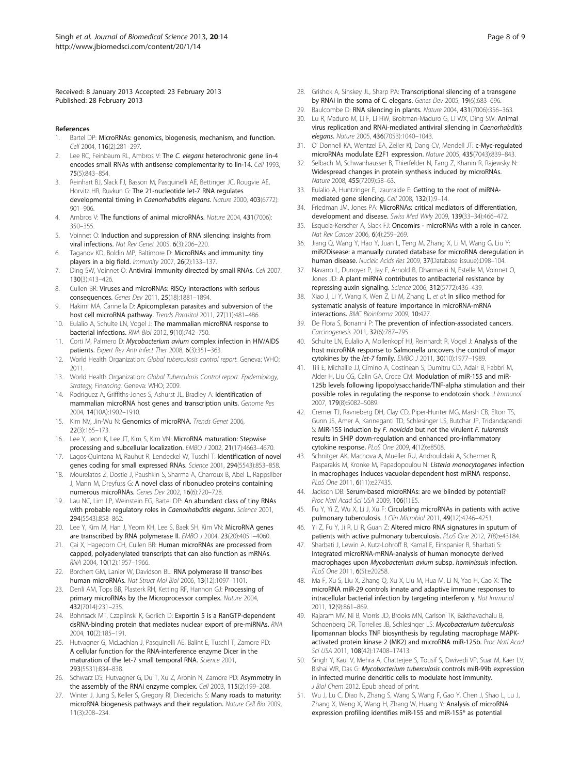<span id="page-7-0"></span>Received: 8 January 2013 Accepted: 23 February 2013 Published: 28 February 2013

#### References

- Bartel DP: MicroRNAs: genomics, biogenesis, mechanism, and function. Cell 2004, 116(2):281–297.
- 2. Lee RC, Feinbaum RL, Ambros V: The C. elegans heterochronic gene lin-4 encodes small RNAs with antisense complementarity to lin-14. Cell 1993, 75(5):843–854.
- 3. Reinhart BJ, Slack FJ, Basson M, Pasquinelli AE, Bettinger JC, Rougvie AE, Horvitz HR, Ruvkun G: The 21-nucleotide let-7 RNA regulates developmental timing in Caenorhabditis elegans. Nature 2000, 403(6772): 901–906.
- 4. Ambros V: The functions of animal microRNAs. Nature 2004, 431(7006): 350–355.
- 5. Voinnet O: Induction and suppression of RNA silencing: insights from viral infections. Nat Rev Genet 2005, 6(3):206–220.
- Taganov KD, Boldin MP, Baltimore D: MicroRNAs and immunity: tiny players in a big field. Immunity 2007, 26(2):133–137.
- 7. Ding SW, Voinnet O: Antiviral immunity directed by small RNAs. Cell 2007, 130(3):413–426.
- 8. Cullen BR: Viruses and microRNAs: RISCy interactions with serious consequences. Genes Dev 2011, 25(18):1881–1894.
- 9. Hakimi MA, Cannella D: Apicomplexan parasites and subversion of the host cell microRNA pathway. Trends Parasitol 2011, 27(11):481–486.
- 10. Eulalio A, Schulte LN, Vogel J: The mammalian microRNA response to bacterial infections. RNA Biol 2012, 9(10):742–750.
- 11. Corti M, Palmero D: Mycobacterium avium complex infection in HIV/AIDS patients. Expert Rev Anti Infect Ther 2008, 6(3):351-363.
- 12. World Health Organization: Global tuberculosis control report. Geneva: WHO; 2011.
- 13. World Health Organization: Global Tuberculosis Control report. Epidemiology, Strategy, Financing. Geneva: WHO; 2009.
- 14. Rodriguez A, Griffiths-Jones S, Ashurst JL, Bradley A: Identification of mammalian microRNA host genes and transcription units. Genome Res 2004, 14(10A):1902–1910.
- 15. Kim NV, Jin-Wu N: Genomics of microRNA. Trends Genet 2006, 22(3):165–173.
- 16. Lee Y, Jeon K, Lee JT, Kim S, Kim VN: MicroRNA maturation: Stepwise processing and subcellular localization. EMBO J 2002, 21(17):4663–4670.
- 17. Lagos-Quintana M, Rauhut R, Lendeckel W, Tuschl T: Identification of novel genes coding for small expressed RNAs. Science 2001, 294(5543):853–858.
- 18. Mourelatos Z, Dostie J, Paushkin S, Sharma A, Charroux B, Abel L, Rappsilber J, Mann M, Dreyfuss G: A novel class of ribonucleo proteins containing numerous microRNAs. Genes Dev 2002, 16(6):720–728.
- 19. Lau NC, Lim LP, Weinstein EG, Bartel DP: An abundant class of tiny RNAs with probable regulatory roles in Caenorhabditis elegans. Science 2001, 294(5543):858–862.
- 20. Lee Y, Kim M, Han J, Yeom KH, Lee S, Baek SH, Kim VN: MicroRNA genes are transcribed by RNA polymerase II. EMBO J 2004, 23(20):4051-4060.
- 21. Cai X, Hagedorn CH, Cullen BR: Human microRNAs are processed from capped, polyadenylated transcripts that can also function as mRNAs. RNA 2004, 10(12):1957–1966.
- 22. Borchert GM, Lanier W, Davidson BL: RNA polymerase III transcribes human microRNAs. Nat Struct Mol Biol 2006, 13(12):1097–1101.
- 23. Denli AM, Tops BB, Plasterk RH, Ketting RF, Hannon GJ: Processing of primary microRNAs by the Microprocessor complex. Nature 2004, 432(7014):231–235.
- 24. Bohnsack MT, Czaplinski K, Gorlich D: Exportin 5 is a RanGTP-dependent dsRNA-binding protein that mediates nuclear export of pre-miRNAs. RNA 2004, 10(2):185–191.
- 25. Hutvagner G, McLachlan J, Pasquinelli AE, Balint E, Tuschl T, Zamore PD: A cellular function for the RNA-interference enzyme Dicer in the maturation of the let-7 small temporal RNA. Science 2001, 293(5531):834–838.
- 26. Schwarz DS, Hutvagner G, Du T, Xu Z, Aronin N, Zamore PD: Asymmetry in the assembly of the RNAi enzyme complex. Cell 2003, 115(2):199–208.
- 27. Winter J, Jung S, Keller S, Gregory RI, Diederichs S: Many roads to maturity: microRNA biogenesis pathways and their regulation. Nature Cell Bio 2009, 11(3):208–234.
- 28. Grishok A, Sinskey JL, Sharp PA: Transcriptional silencing of a transgene by RNAi in the soma of C. elegans. Genes Dev 2005, 19(6):683–696.
- 29. Baulcombe D: RNA silencing in plants. Nature 2004, 431(7006):356–363.
- 30. Lu R, Maduro M, Li F, Li HW, Broitman-Maduro G, Li WX, Ding SW: Animal virus replication and RNAi-mediated antiviral silencing in Caenorhabditis elegans. Nature 2005, 436(7053):1040–1043.
- 31. O' Donnell KA, Wentzel EA, Zeller KI, Dang CV, Mendell JT: c-Myc-regulated microRNAs modulate E2F1 expression. Nature 2005, 435(7043):839–843.
- 32. Selbach M, Schwanhausser B, Thierfelder N, Fang Z, Khanin R, Rajewsky N: Widespread changes in protein synthesis induced by microRNAs. Nature 2008, 455(7209):58–63.
- 33. Eulalio A, Huntzinger E, Izaurralde E: Getting to the root of miRNAmediated gene silencing. Cell 2008, 132(1):9–14.
- 34. Friedman JM, Jones PA: MicroRNAs: critical mediators of differentiation, development and disease. Swiss Med Wkly 2009, 139(33–34):466–472.
- 35. Esquela-Kerscher A, Slack FJ: Oncomirs microRNAs with a role in cancer. Nat Rev Cancer 2006, 6(4):259–269.
- 36. Jiang Q, Wang Y, Hao Y, Juan L, Teng M, Zhang X, Li M, Wang G, Liu Y: miR2Disease: a manually curated database for microRNA deregulation in human disease. Nucleic Acids Res 2009, 37(Database issuue):D98–104.
- 37. Navarro L, Dunoyer P, Jay F, Arnold B, Dharmasiri N, Estelle M, Voinnet O, Jones JD: A plant miRNA contributes to antibacterial resistance by repressing auxin signaling. Science 2006, 312(5772):436–439.
- 38. Xiao J, Li Y, Wang K, Wen Z, Li M, Zhang L, et al: In silico method for systematic analysis of feature importance in microRNA-mRNA interactions. BMC Bioinforma 2009, 10:427.
- 39. De Flora S, Bonanni P: The prevention of infection-associated cancers. Carcinogenesis 2011, 32(6):787–795.
- 40. Schulte LN, Eulalio A, Mollenkopf HJ, Reinhardt R, Vogel J: Analysis of the host microRNA response to Salmonella uncovers the control of major cytokines by the let-7 family. EMBO J 2011, 30(10):1977–1989.
- 41. Tili E, Michaille JJ, Cimino A, Costinean S, Dumitru CD, Adair B, Fabbri M, Alder H, Liu CG, Calin GA, Croce CM: Modulation of miR-155 and miR-125b levels following lipopolysaccharide/TNF-alpha stimulation and their possible roles in regulating the response to endotoxin shock. J Immunol 2007, 179(8):5082–5089.
- 42. Cremer TJ, Ravneberg DH, Clay CD, Piper-Hunter MG, Marsh CB, Elton TS, Gunn JS, Amer A, Kanneganti TD, Schlesinger LS, Butchar JP, Tridandapandi S: MiR-155 induction by F. novicida but not the virulent F. tularensis results in SHIP down-regulation and enhanced pro-inflammatory cytokine response. PLoS One 2009, 4(12):e8508.
- 43. Schnitger AK, Machova A, Mueller RU, Androulidaki A, Schermer B, Pasparakis M, Kronke M, Papadopoulou N: Listeria monocytogenes infection in macrophages induces vacuolar-dependent host miRNA response. PLoS One 2011, 6(11):e27435.
- 44. Jackson DB: Serum-based microRNAs: are we blinded by potential? Proc Natl Acad Sci USA 2009, 106(1):E5.
- 45. Fu Y, Yi Z, Wu X, Li J, Xu F: Circulating microRNAs in patients with active pulmonary tuberculosis. J Clin Microbiol 2011, 49(12):4246-4251.
- 46. Yi Z, Fu Y, Ji R, Li R, Guan Z: Altered micro RNA signatures in sputum of patients with active pulmonary tuberculosis. PLoS One 2012, 7(8):e43184.
- 47. Sharbati J, Lewin A, Kutz-Lohroff B, Kamal E, Einspanier R, Sharbati S: Integrated microRNA-mRNA-analysis of human monocyte derived macrophages upon Mycobacterium avium subsp. hominissuis infection. PLoS One 2011, 6(5):e20258.
- 48. Ma F, Xu S, Liu X, Zhang Q, Xu X, Liu M, Hua M, Li N, Yao H, Cao X: The microRNA miR-29 controls innate and adaptive immune responses to intracellular bacterial infection by targeting interferon γ. Nat Immunol 2011, 12(9):861–869.
- 49. Rajaram MV, Ni B, Morris JD, Brooks MN, Carlson TK, Bakthavachalu B, Schoenberg DR, Torrelles JB, Schlesinger LS: Mycobacterium tuberculosis lipomannan blocks TNF biosynthesis by regulating macrophage MAPKactivated protein kinase 2 (MK2) and microRNA miR-125b. Proc Natl Acad Sci USA 2011, 108(42):17408-17413.
- 50. Singh Y, Kaul V, Mehra A, Chatterjee S, Tousif S, Dwivedi VP, Suar M, Kaer LV, Bishai WR, Das G: Mycobacterium tuberculosis controls miR-99b expression in infected murine dendritic cells to modulate host immunity. J Biol Chem 2012. Epub ahead of print.
- 51. Wu J, Lu C, Diao N, Zhang S, Wang S, Wang F, Gao Y, Chen J, Shao L, Lu J, Zhang X, Weng X, Wang H, Zhang W, Huang Y: Analysis of microRNA expression profiling identifies miR-155 and miR-155\* as potential